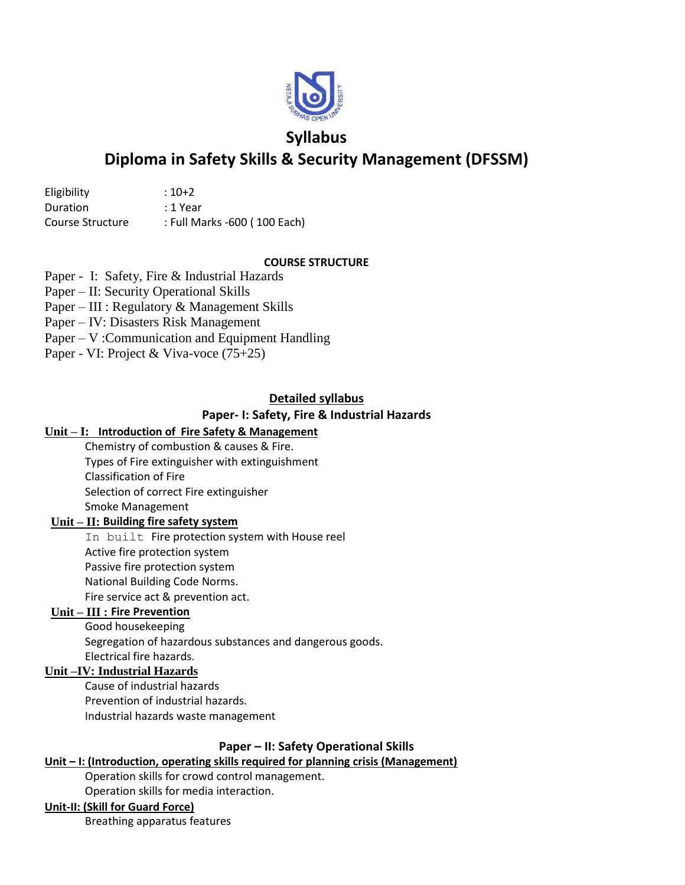

# **Syllabus**

# **Diploma in Safety Skills & Security Management (DFSSM)**

| Eligibility      | $:10+2$                      |
|------------------|------------------------------|
| Duration         | : 1 Year                     |
| Course Structure | : Full Marks -600 (100 Each) |

## **COURSE STRUCTURE**

Paper - I: Safety, Fire & Industrial Hazards

Paper – II: Security Operational Skills

- Paper III : Regulatory & Management Skills
- Paper IV: Disasters Risk Management
- Paper V :Communication and Equipment Handling
- Paper VI: Project & Viva-voce (75+25)

## **Detailed syllabus**

## **Paper- I: Safety, Fire & Industrial Hazards**

## **Unit – I: Introduction of Fire Safety & Management**

Chemistry of combustion & causes & Fire. Types of Fire extinguisher with extinguishment Classification of Fire Selection of correct Fire extinguisher Smoke Management

## **Unit – II: Building fire safety system**

In built Fire protection system with House reel Active fire protection system Passive fire protection system National Building Code Norms. Fire service act & prevention act.

## **Unit – III : Fire Prevention**

Good housekeeping Segregation of hazardous substances and dangerous goods. Electrical fire hazards.

## **Unit –IV: Industrial Hazards**

Cause of industrial hazards Prevention of industrial hazards. Industrial hazards waste management

## **Paper – II: Safety Operational Skills**

## **Unit – I: (Introduction, operating skills required for planning crisis (Management)**

Operation skills for crowd control management.

Operation skills for media interaction.

## **Unit-II: (Skill for Guard Force)**

Breathing apparatus features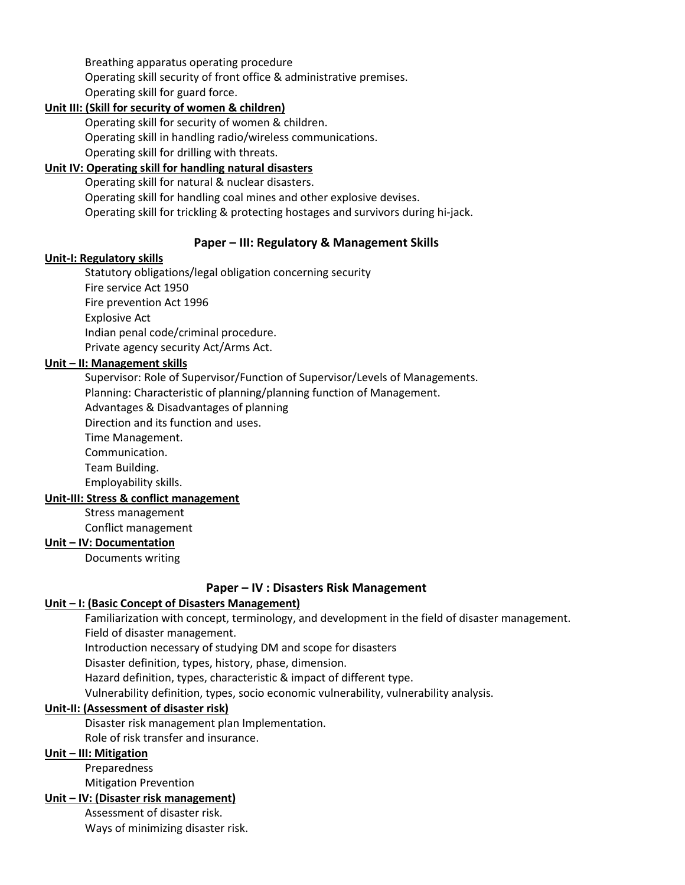Breathing apparatus operating procedure Operating skill security of front office & administrative premises. Operating skill for guard force.

## **Unit III: (Skill for security of women & children)**

Operating skill for security of women & children. Operating skill in handling radio/wireless communications. Operating skill for drilling with threats.

## **Unit IV: Operating skill for handling natural disasters**

Operating skill for natural & nuclear disasters. Operating skill for handling coal mines and other explosive devises. Operating skill for trickling & protecting hostages and survivors during hi-jack.

## **Paper – III: Regulatory & Management Skills**

#### **Unit-I: Regulatory skills**

Statutory obligations/legal obligation concerning security Fire service Act 1950 Fire prevention Act 1996 Explosive Act Indian penal code/criminal procedure. Private agency security Act/Arms Act.

## **Unit – II: Management skills**

Supervisor: Role of Supervisor/Function of Supervisor/Levels of Managements. Planning: Characteristic of planning/planning function of Management.

Advantages & Disadvantages of planning

Direction and its function and uses.

Time Management.

Communication.

Team Building.

Employability skills.

#### **Unit-III: Stress & conflict management**

Stress management

Conflict management

**Unit – IV: Documentation**

Documents writing

#### **Paper – IV : Disasters Risk Management**

#### **Unit – I: (Basic Concept of Disasters Management)**

Familiarization with concept, terminology, and development in the field of disaster management. Field of disaster management. Introduction necessary of studying DM and scope for disasters

Disaster definition, types, history, phase, dimension.

Hazard definition, types, characteristic & impact of different type.

Vulnerability definition, types, socio economic vulnerability, vulnerability analysis.

#### **Unit-II: (Assessment of disaster risk)**

Disaster risk management plan Implementation.

Role of risk transfer and insurance.

## **Unit – III: Mitigation**

Preparedness

Mitigation Prevention

#### **Unit – IV: (Disaster risk management)**

Assessment of disaster risk.

Ways of minimizing disaster risk.